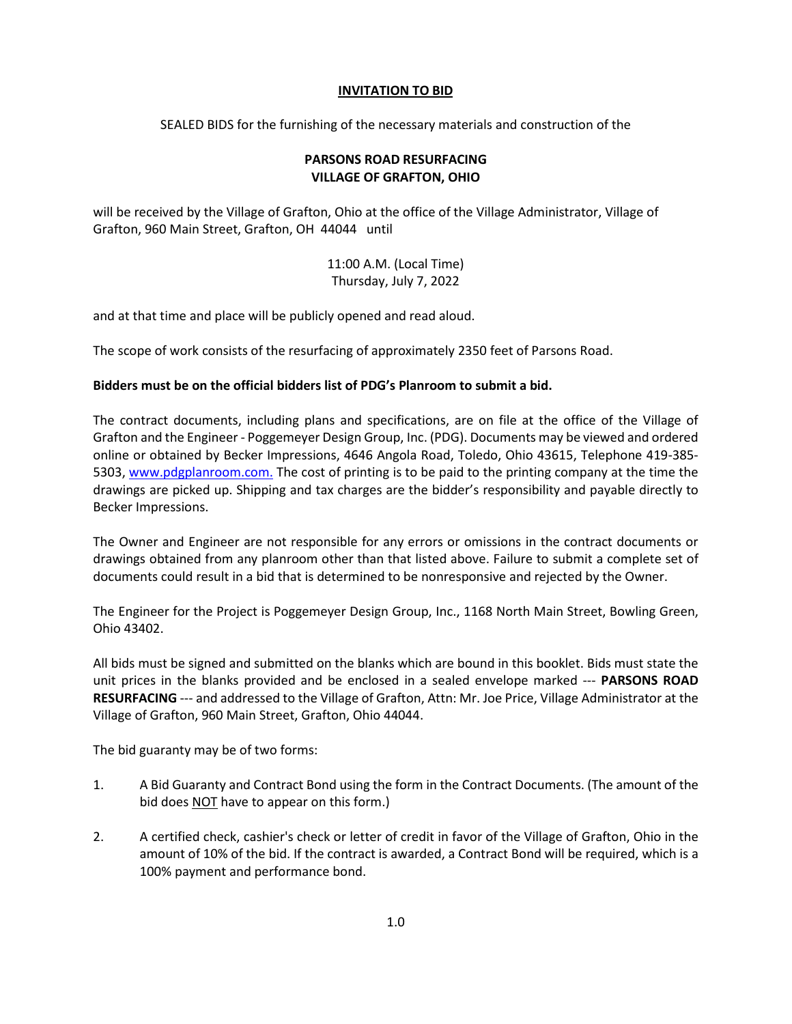## **INVITATION TO BID**

SEALED BIDS for the furnishing of the necessary materials and construction of the

## **PARSONS ROAD RESURFACING VILLAGE OF GRAFTON, OHIO**

will be received by the Village of Grafton, Ohio at the office of the Village Administrator, Village of Grafton, 960 Main Street, Grafton, OH 44044 until

> 11:00 A.M. (Local Time) Thursday, July 7, 2022

and at that time and place will be publicly opened and read aloud.

The scope of work consists of the resurfacing of approximately 2350 feet of Parsons Road.

## **Bidders must be on the official bidders list of PDG's Planroom to submit a bid.**

The contract documents, including plans and specifications, are on file at the office of the Village of Grafton and the Engineer - Poggemeyer Design Group, Inc. (PDG). Documents may be viewed and ordered online or obtained by Becker Impressions, 4646 Angola Road, Toledo, Ohio 43615, Telephone 419-385- 5303[, www.pdgplanroom.com.](http://www.pdgplanroom.com./) The cost of printing is to be paid to the printing company at the time the drawings are picked up. Shipping and tax charges are the bidder's responsibility and payable directly to Becker Impressions.

The Owner and Engineer are not responsible for any errors or omissions in the contract documents or drawings obtained from any planroom other than that listed above. Failure to submit a complete set of documents could result in a bid that is determined to be nonresponsive and rejected by the Owner.

The Engineer for the Project is Poggemeyer Design Group, Inc., 1168 North Main Street, Bowling Green, Ohio 43402.

All bids must be signed and submitted on the blanks which are bound in this booklet. Bids must state the unit prices in the blanks provided and be enclosed in a sealed envelope marked --- **PARSONS ROAD RESURFACING** --- and addressed to the Village of Grafton, Attn: Mr. Joe Price, Village Administrator at the Village of Grafton, 960 Main Street, Grafton, Ohio 44044.

The bid guaranty may be of two forms:

- 1. A Bid Guaranty and Contract Bond using the form in the Contract Documents. (The amount of the bid does NOT have to appear on this form.)
- 2. A certified check, cashier's check or letter of credit in favor of the Village of Grafton, Ohio in the amount of 10% of the bid. If the contract is awarded, a Contract Bond will be required, which is a 100% payment and performance bond.